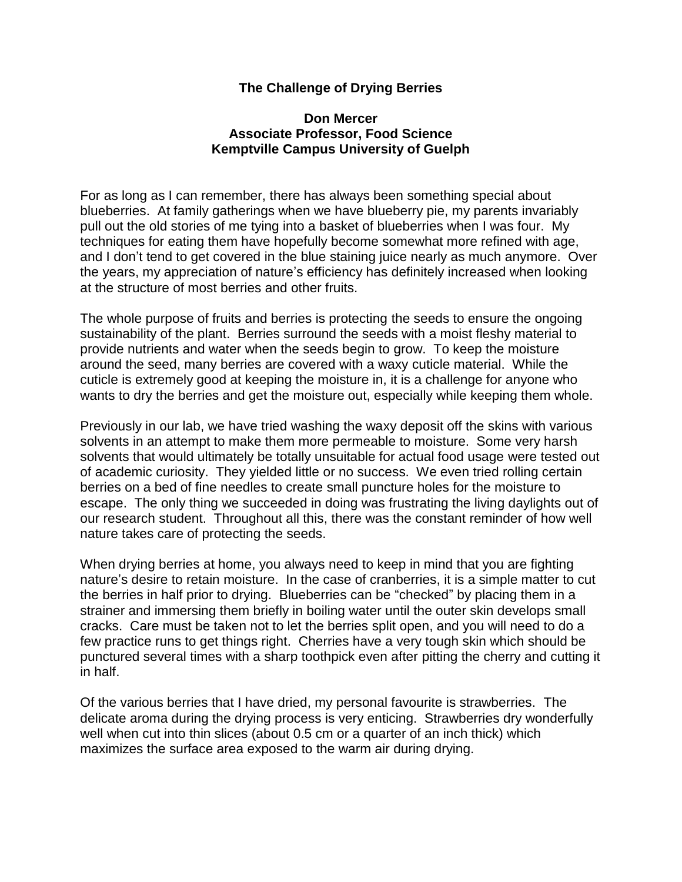## **The Challenge of Drying Berries**

## **Don Mercer Associate Professor, Food Science Kemptville Campus University of Guelph**

For as long as I can remember, there has always been something special about blueberries. At family gatherings when we have blueberry pie, my parents invariably pull out the old stories of me tying into a basket of blueberries when I was four. My techniques for eating them have hopefully become somewhat more refined with age, and I don't tend to get covered in the blue staining juice nearly as much anymore. Over the years, my appreciation of nature's efficiency has definitely increased when looking at the structure of most berries and other fruits.

The whole purpose of fruits and berries is protecting the seeds to ensure the ongoing sustainability of the plant. Berries surround the seeds with a moist fleshy material to provide nutrients and water when the seeds begin to grow. To keep the moisture around the seed, many berries are covered with a waxy cuticle material. While the cuticle is extremely good at keeping the moisture in, it is a challenge for anyone who wants to dry the berries and get the moisture out, especially while keeping them whole.

Previously in our lab, we have tried washing the waxy deposit off the skins with various solvents in an attempt to make them more permeable to moisture. Some very harsh solvents that would ultimately be totally unsuitable for actual food usage were tested out of academic curiosity. They yielded little or no success. We even tried rolling certain berries on a bed of fine needles to create small puncture holes for the moisture to escape. The only thing we succeeded in doing was frustrating the living daylights out of our research student. Throughout all this, there was the constant reminder of how well nature takes care of protecting the seeds.

When drying berries at home, you always need to keep in mind that you are fighting nature's desire to retain moisture. In the case of cranberries, it is a simple matter to cut the berries in half prior to drying. Blueberries can be "checked" by placing them in a strainer and immersing them briefly in boiling water until the outer skin develops small cracks. Care must be taken not to let the berries split open, and you will need to do a few practice runs to get things right. Cherries have a very tough skin which should be punctured several times with a sharp toothpick even after pitting the cherry and cutting it in half.

Of the various berries that I have dried, my personal favourite is strawberries. The delicate aroma during the drying process is very enticing. Strawberries dry wonderfully well when cut into thin slices (about 0.5 cm or a quarter of an inch thick) which maximizes the surface area exposed to the warm air during drying.